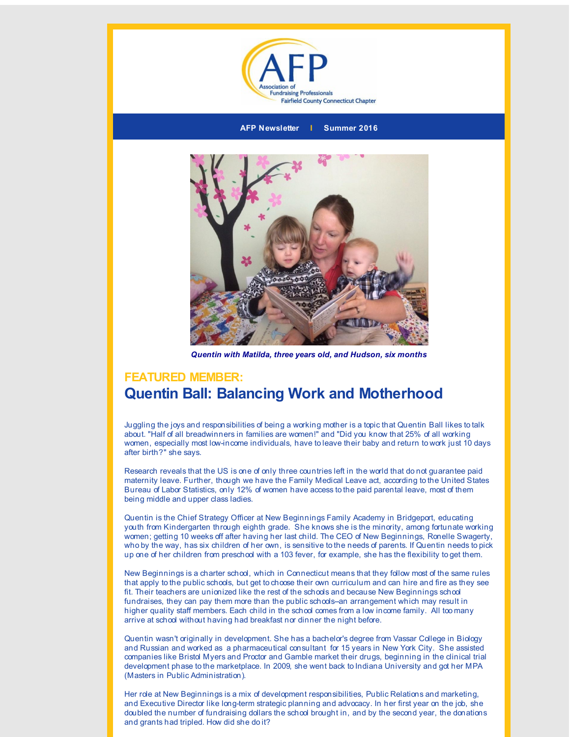



*Quentin with Matilda, three years old, and Hudson, six months*

## **FEATURED MEMBER: Quentin Ball: Balancing Work and Motherhood**

Juggling the joys and responsibilities of being a working mother is a topic that Quentin Ball likes to talk about. "Half of all breadwinners in families are women!" and "Did you know that 25% of all working women, especially most low-income individuals, have to leave their baby and return to work just 10 days after birth?" she says.

Research reveals that the US is one of only three countries left in the world that do not guarantee paid maternity leave. Further, though we have the Family Medical Leave act, according to the United States Bureau of Labor Statistics, only 12% of women have access to the paid parental leave, most of them being middle and upper class ladies.

Quentin is the Chief Strategy Officer at New Beginnings Family Academy in Bridgeport, educating youth from Kindergarten through eighth grade. She knows she is the minority, among fortunate working women; getting 10 weeks off after having her last child. The CEO of New Beginnings, Ronelle Swagerty, who by the way, has six children of her own, is sensitive to the needs of parents. If Quentin needs to pick up one of her children from preschool with a 103 fever, for example, she has the flexibility to get them.

New Beginnings is a charter school, which in Connecticut means that they follow most of the same rules that apply to the public schools, but get to choose their own curriculum and can hire and fire as they see fit. Their teachers are unionized like the rest of the schools and because New Beginnings school fundraises, they can pay them more than the public schools--an arrangement which may result in higher quality staff members. Each child in the school comes from a low income family. All too many arrive at school without having had breakfast nor dinner the night before.

Quentin wasn't originally in development. She has a bachelor's degree from Vassar College in Biology and Russian and worked as a pharmaceutical consultant for 15 years in New York City. She assisted companies like Bristol Myers and Proctor and Gamble market their drugs, beginning in the clinical trial development phase to the marketplace. In 2009, she went back to Indiana University and got her MPA (Masters in Public Administration).

Her role at New Beginnings is a mix of development responsibilities, Public Relations and marketing, and Executive Director like long-term strategic planning and advocacy. In her first year on the job, she doubled the number of fundraising dollars the school brought in, and by the second year, the donations and grants had tripled. How did she do it?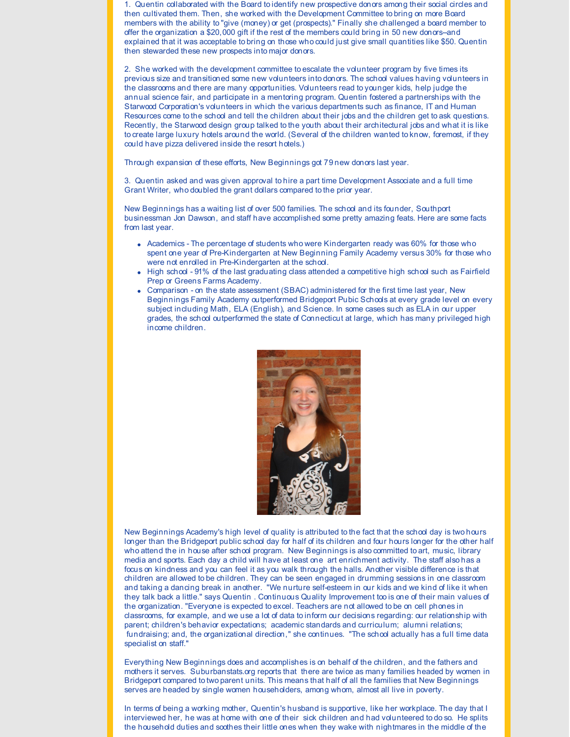1. Quentin collaborated with the Board to identify new prospective donors among their social circles and then cultivated them. Then, she worked with the Development Committee to bring on more Board members with the ability to "give (money) or get (prospects)." Finally she challenged a board member to offer the organization a \$20,000 gift if the rest of the members could bring in 50 new donors--and explained that it was acceptable to bring on those who could just give small quantities like \$50. Quentin then stewarded these new prospects into major donors.

2. She worked with the development committee to escalate the volunteer program by five times its previous size and transitioned some new volunteers into donors. The school values having volunteers in the classrooms and there are many opportunities. Volunteers read to younger kids, help judge the annual science fair, and participate in a mentoring program. Quentin fostered a partnerships with the Starwood Corporation's volunteers in which the various departments such as finance, IT and Human Resources come to the school and tell the children about their jobs and the children get to ask questions. Recently, the Starwood design group talked to the youth about their architectural jobs and what it is like to create large luxury hotels around the world. (Several of the children wanted to know, foremost, if they could have pizza delivered inside the resort hotels.)

Through expansion of these efforts, New Beginnings got 79 new donors last year.

3. Quentin asked and was given approval to hire a part time Development Associate and a full time Grant Writer, who doubled the grant dollars compared to the prior year.

New Beginnings has a waiting list of over 500 families. The school and its founder, Southport businessman Jon Dawson, and staff have accomplished some pretty amazing feats. Here are some facts from last year.

- Academics The percentage of students who were Kindergarten ready was 60% for those who spent one year of Pre-Kindergarten at New Beginning Family Academy versus 30% for those who were not enrolled in Pre-Kindergarten at the school.
- High school 91% of the last graduating class attended a competitive high school such as Fairfield Prep or Greens Farms Academy.
- Comparison on the state assessment (SBAC) administered for the first time last year, New Beginnings Family Academy outperformed Bridgeport Pubic Schools at every grade level on every subject including Math, ELA (English), and Science. In some cases such as ELA in our upper grades, the school outperformed the state of Connecticut at large, which has many privileged high income children.



New Beginnings Academy's high level of quality is attributed to the fact that the school day is two hours longer than the Bridgeport public school day for half of its children and four hours longer for the other half who attend the in house after school program. New Beginnings is also committed to art, music, library media and sports. Each day a child will have at least one art enrichment activity. The staff also has a focus on kindness and you can feel it as you walk through the halls. Another visible difference is that children are allowed to be children. They can be seen engaged in drumming sessions in one classroom and taking a dancing break in another. "We nurture self-esteem in our kids and we kind of like it when they talk back a little." says Quentin . Continuous Quality Improvement too is one of their main values of the organization. "Everyone is expected to excel. Teachers are not allowed to be on cell phones in classrooms, for example, and we use a lot of data to inform our decisions regarding: our relationship with parent; children's behavior expectations; academic standards and curriculum; alumni relations; fundraising; and, the organizational direction," she continues. "The school actually has a full time data specialist on staff."

Everything New Beginnings does and accomplishes is on behalf of the children, and the fathers and mothers it serves. Suburbanstats.org reports that there are twice as many families headed by women in Bridgeport compared to two parent units. This means that half of all the families that New Beginnings serves are headed by single women householders, among whom, almost all live in poverty.

In terms of being a working mother, Quentin's husband is supportive, like her workplace. The day that I interviewed her, he was at home with one of their sick children and had volunteered to do so. He splits the household duties and soothes their little ones when they wake with nightmares in the middle of the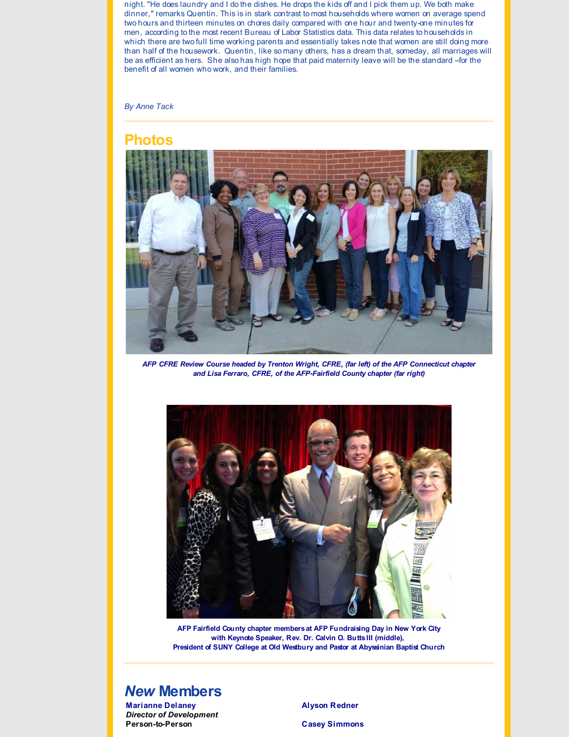night. "He does laundry and I do the dishes. He drops the kids off and I pick them up. We both make dinner," remarks Quentin. This is in stark contrast to most households where women on average spend two hours and thirteen minutes on chores daily compared with one hour and twenty-one minutes for men, according to the most recent Bureau of Labor Statistics data. This data relates to households in which there are two full time working parents and essentially takes note that women are still doing more than half of the housework. Quentin, like so many others, has a dream that, someday, all marriages will be as efficient as hers. She also has high hope that paid maternity leave will be the standard --for the benefit of all women who work, and their families.

*By Anne Tack*

### **Photos**



*AFP CFRE Review Course headed by Trenton Wright, CFRE, (far left) of the AFP Connecticut chapter and Lisa Ferraro, CFRE, of the AFP-Fairfield County chapter (far right)*



**AFP Fairfield County chapter members at AFP Fundraising Day in New York City with Keynote Speaker, Rev. Dr. Calvin O. Butts III (middle), President of SUNY College at Old Westbury and Pastor at Abyssinian Baptist Church**

### *New* **Members**

**Marianne Delaney** *Director of Development* **Person-to-Person**

**Alyson Redner**

**Casey Simmons**